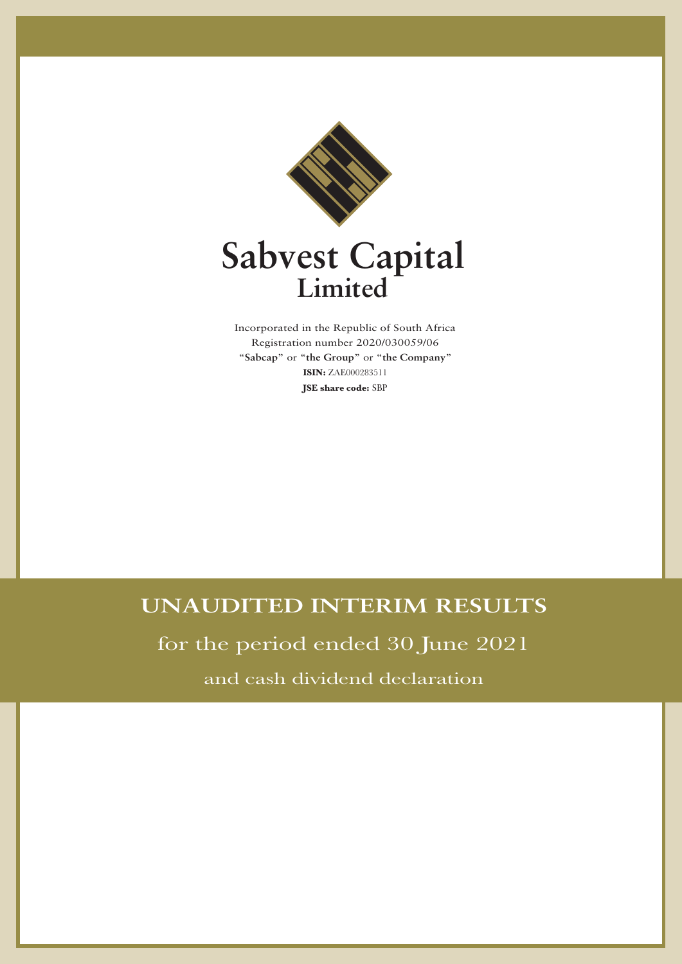

# **Sabvest Capital Limited**

Incorporated in the Republic of South Africa Registration number 2020/030059/06 "**Sabcap**" or "**the Group**" or "**the Company**" **ISIN:** ZAE000283511 **JSE share code:** SBP

# **UNAUDITED INTERIM RESULTS**

for the period ended 30 June 2021

and cash dividend declaration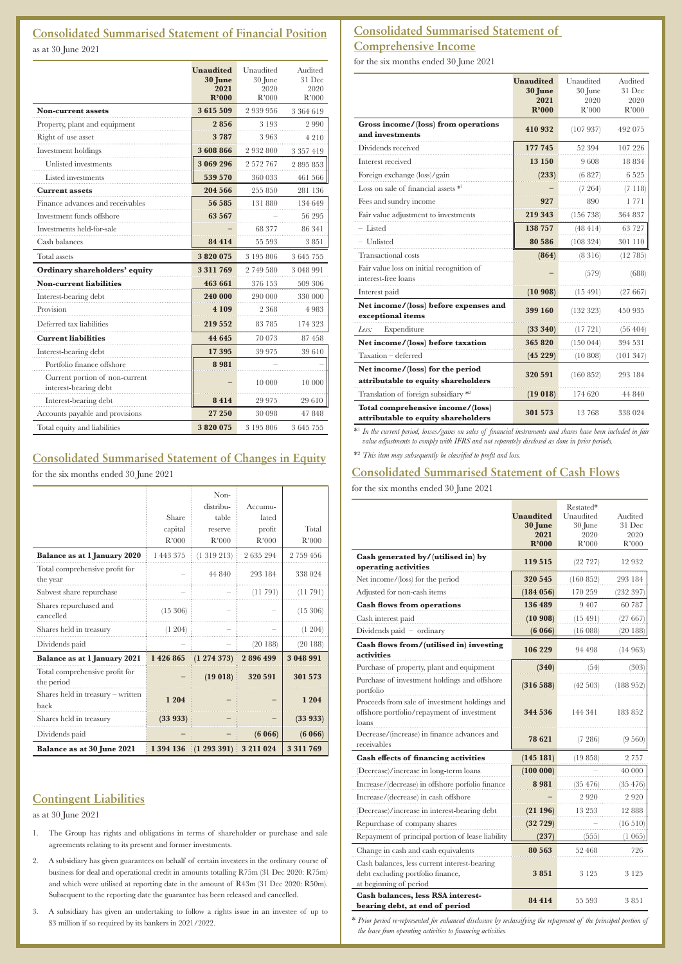# **Consolidated Summarised Statement of Financial Position**

as at 30 June 2021

|                                                         | <b>Unaudited</b><br>30 June<br>2021<br>R'000 | Unaudited<br>30 June<br>2020<br>R'000 | Audited<br>31 Dec<br>2020<br>R'000 |
|---------------------------------------------------------|----------------------------------------------|---------------------------------------|------------------------------------|
| <b>Non-current assets</b>                               | 3615509                                      | 2 939 956                             | 3 364 619                          |
| Property, plant and equipment                           | 2856                                         | 3 1 9 3                               | 2990                               |
| Right of use asset                                      | 3787                                         | 3963                                  | 4 2 1 0                            |
| Investment holdings                                     | 3608866                                      | 2 932 800                             | 3 3 5 7 4 1 9                      |
| <b>Unlisted</b> investments                             | 3 069 296                                    | 2 572 767                             | 2895853                            |
| Listed investments                                      | 539 570                                      | 360 033                               | 461 566                            |
| <b>Current assets</b>                                   | 204 566                                      | 255 850                               | 281 136                            |
| Finance advances and receivables                        | 56 585                                       | 131 880                               | 134 649                            |
| Investment funds offshore                               | 63 5 67                                      |                                       | 56 295                             |
| Investments held-for-sale                               |                                              | 68 377                                | 86 341                             |
| Cash balances                                           | 84 414                                       | 55 593                                | 3851                               |
| Total assets                                            | 3820075                                      | 3 195 806                             | 3 645 755                          |
| Ordinary shareholders' equity                           | 3 311 769                                    | 2749580                               | 3 048 991                          |
| <b>Non-current liabilities</b>                          | 463 661                                      | 376 153                               | 509 306                            |
| Interest-bearing debt                                   | 240 000                                      | 290 000                               | 330 000                            |
| Provision                                               | 4 1 0 9                                      | 2 3 6 8                               | 4 9 8 3                            |
| Deferred tax liabilities                                | 219 552                                      | 83 785                                | 174 323                            |
| <b>Current liabilities</b>                              | 44 645                                       | 70 073                                | 87458                              |
| Interest-bearing debt                                   | 17 395                                       | 39 975                                | 39 610                             |
| Portfolio finance offshore                              | 8981                                         |                                       |                                    |
| Current portion of non-current<br>interest-bearing debt |                                              | 10 000                                | 10 000                             |
| Interest-bearing debt                                   | 8414                                         | 29 975                                | 29 610                             |
| Accounts payable and provisions                         | 27 250                                       | 30 098                                | 47848                              |
| Total equity and liabilities                            | 3820075                                      | 3 195 806                             | 3645755                            |

# **Consolidated Summarised Statement of Changes in Equity**

for the six months ended 30 June 2021

|                                              | Share<br>capital | Non-<br>distribu-<br>table<br>reserve | Accumu-<br>lated<br>profit | Total     |
|----------------------------------------------|------------------|---------------------------------------|----------------------------|-----------|
|                                              | R'000            | R'000                                 | R'000                      | R'000     |
| Balance as at 1 January 2020                 | 1 443 375        | (1319213)                             | 2635294                    | 2 759 456 |
| Total comprehensive profit for<br>the year   |                  | 44 840                                | 293 184                    | 338 024   |
| Sabvest share repurchase                     |                  |                                       | (11791)                    | (11791)   |
| Shares repurchased and<br>cancelled          | (15, 306)        |                                       |                            | (15, 306) |
| Shares held in treasury                      | (1 204)          |                                       |                            | (1204)    |
| Dividends paid                               |                  |                                       | (20188)                    | (20188)   |
| <b>Balance as at 1 January 2021</b>          | 1 426 865        | (1274373)                             | 2896499                    | 3 048 991 |
| Total comprehensive profit for<br>the period |                  | (19018)                               | 320 591                    | 301 573   |
| Shares held in treasury - written<br>back    | 1 204            |                                       |                            | 1 2 0 4   |
| Shares held in treasury                      | (33933)          |                                       |                            | (33933)   |
| Dividends paid                               |                  |                                       | (6066)                     | (6066)    |
| <b>Balance as at 30 June 2021</b>            | 1 394 136        | (1293391)                             | 3 211 024                  | 3311769   |

# **Contingent Liabilities**

as at 30 June 2021

- 1. The Group has rights and obligations in terms of shareholder or purchase and sale agreements relating to its present and former investments.
- 2. A subsidiary has given guarantees on behalf of certain investees in the ordinary course of business for deal and operational credit in amounts totalling R75m (31 Dec 2020: R75m) and which were utilised at reporting date in the amount of R43m (31 Dec 2020: R50m). Subsequent to the reporting date the guarantee has been released and cancelled.
- 3. A subsidiary has given an undertaking to follow a rights issue in an investee of up to \$3 million if so required by its bankers in 2021/2022.

# **Consolidated Summarised Statement of Comprehensive Income**

for the six months ended 30 June 2021

|                                                                          | <b>Unaudited</b> | Unaudited | Audited   |
|--------------------------------------------------------------------------|------------------|-----------|-----------|
|                                                                          | 30 June          | 30 June   | 31 Dec    |
|                                                                          | 2021             | 2020      | 2020      |
|                                                                          | R'000            | R'000     | R'000     |
| Gross income/(loss) from operations<br>and investments                   | 410 932          | (107937)  | 492 075   |
| Dividends received                                                       | 177745           | 52 394    | 107 226   |
| Interest received                                                        | 13 150           | 9608      | 18834     |
| Foreign exchange (loss)/gain                                             | (233)            | (6827)    | 6 5 2 5   |
| Loss on sale of financial assets *1                                      |                  | (7264)    | (7118)    |
| Fees and sundry income                                                   | 927              | 890       | 1771      |
| Fair value adjustment to investments                                     | 219343           | (156 738) | 364 837   |
| - Listed                                                                 | 138757           | (48414)   | 63 727    |
| - Unlisted                                                               | 80 586           | (108324)  | 301 110   |
| <b>Transactional</b> costs                                               | (864)            | (8316)    | (12785)   |
| Fair value loss on initial recognition of<br>interest-free loans         |                  | (579)     | (688)     |
| Interest paid                                                            | (10908)          | (15.491)  | (27667)   |
| Net income/(loss) before expenses and<br>exceptional items               | 399 160          | (132 323) | 450 935   |
| Expenditure<br>Less:                                                     | (33340)          | (17721)   | (56, 404) |
| Net income/(loss) before taxation                                        | 365 820          | (150044)  | 394 531   |
| Taxation - deferred                                                      | (45229)          | (10 808)  | (101347)  |
| Net income/(loss) for the period<br>attributable to equity shareholders  | 320 591          | (160 852) | 293 184   |
| Translation of foreign subsidiary *2                                     | (19018)          | 174 620   | 44 840    |
| Total comprehensive income/(loss)<br>attributable to equity shareholders | 301 573          | 13768     | 338 024   |

<sup>\*</sup> In the current period, losses/gains on sales of financial instruments and shares have been included in fair<br>value adjustments to comply with IFRS and not separately disclosed as done in prior periods.

\*<sup>2</sup> *This item may subsequently be classified to profit and loss.*

# **Consolidated Summarised Statement of Cash Flows**

for the six months ended 30 June 2021

|                                                                                                             | <b>Unaudited</b><br>30 June<br>2021<br>R'000 | Restated*<br>Unaudited<br>30 June<br>2020<br>R'000 | Audited<br>31 Dec<br>2020<br>R'000 |
|-------------------------------------------------------------------------------------------------------------|----------------------------------------------|----------------------------------------------------|------------------------------------|
| Cash generated by/(utilised in) by<br>operating activities                                                  | 119515                                       | (22727)                                            | 12 932                             |
| Net income/(loss) for the period                                                                            | 320 545                                      | (160 852)                                          | 293 184                            |
| Adjusted for non-cash items                                                                                 | (184056)                                     | 170 259                                            | (232 397)                          |
| <b>Cash flows from operations</b>                                                                           | 136 489                                      | 9407                                               | 60 787                             |
| Cash interest paid                                                                                          | (10908)                                      | (15.491)                                           | (27667)                            |
| Dividends paid $-$ ordinary                                                                                 | (6066)                                       | (16088)                                            | (20188)                            |
| Cash flows from/(utilised in) investing<br>activities                                                       | 106 229                                      | 94 498                                             | (14963)                            |
| Purchase of property, plant and equipment                                                                   | (340)                                        | (54)                                               | (303)                              |
| Purchase of investment holdings and offshore<br>portfolio                                                   | (316 588)                                    | (42 503)                                           | (188952)                           |
| Proceeds from sale of investment holdings and<br>offshore portfolio/repayment of investment<br>loans        | 344 536                                      | 144 341                                            | 183852                             |
| Decrease/(increase) in finance advances and<br>receivables                                                  | 78 621                                       | (7 286)                                            | (9560)                             |
| <b>Cash effects of financing activities</b>                                                                 | (145181)                                     | (19858)                                            | 2 757                              |
| (Decrease)/increase in long-term loans                                                                      | (100000)                                     |                                                    | 40 000                             |
| Increase/(decrease) in offshore porfolio finance                                                            | 8981                                         | (35, 476)                                          | (35, 476)                          |
| Increase/(decrease) in cash offshore                                                                        |                                              | 2920                                               | 2920                               |
| (Decrease)/increase in interest-bearing debt                                                                | (21196)                                      | 13 253                                             | 12888                              |
| Repurchase of company shares                                                                                | (32729)                                      |                                                    | (16510)                            |
| Repayment of principal portion of lease liability                                                           | (237)                                        | (555)                                              | (1 065)                            |
| Change in cash and cash equivalents                                                                         | 80 563                                       | 52 468                                             | 726                                |
| Cash balances, less current interest-bearing<br>debt excluding portfolio finance,<br>at beginning of period | 3851                                         | 3 1 2 5                                            | 3 1 2 5                            |
| Cash balances, less RSA interest-<br>bearing debt, at end of period                                         | 84 4 14                                      | 55 593                                             | 3851                               |

\* *Prior period re-represented for enhanced disclosure by reclassifying the repayment of the principal portion of the lease from operating activities to financing activities.*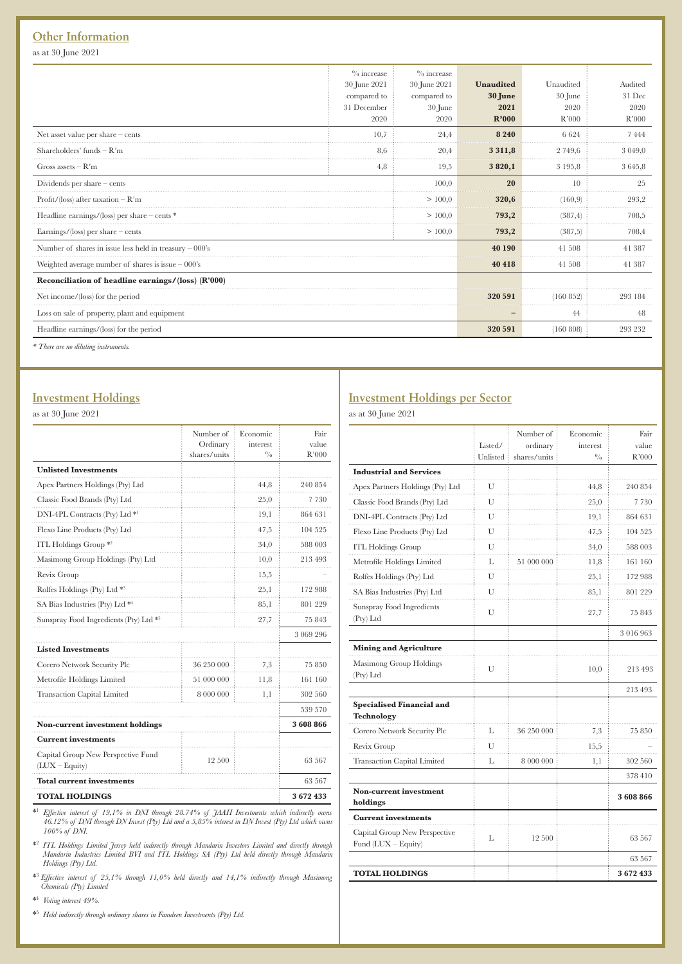# **Other Information**

as at 30 June 2021

|                                                           | $\%$ increase | $\%$ increase |           |           |           |
|-----------------------------------------------------------|---------------|---------------|-----------|-----------|-----------|
|                                                           | 30 June 2021  | 30 June 2021  | Unaudited | Unaudited | Audited   |
|                                                           | compared to   | compared to   | 30 June   | 30 June   | 31 Dec    |
|                                                           | 31 December   | $30$ June     | 2021      | 2020      | 2020      |
|                                                           | 2020          | 2020          | R'000     | R'000     | R'000     |
| Net asset value per share - cents                         | 10,7          | 24.4          | 8 2 4 0   | 6624      | 7444      |
| Shareholders' funds $-R'm$                                | 8,6           | 20,4          | 3 3 1 1,8 | 2 749,6   | 3 0 4 9 0 |
| Gross assets $-R'm$                                       | 4,8           | 19,5          | 3820,1    | 3 195,8   | 3645,8    |
| Dividends per share $-$ cents                             |               | 100.0         | 20        | 10        | 25        |
| Profit/(loss) after taxation $-R'm$                       |               | >100,0        | 320,6     | (160.9)   | 293,2     |
| Headline earnings/(loss) per share $-\text{cents}$ *      |               | >100.0        | 793,2     | (387, 4)  | 708,5     |
| Earnings/ $\langle$ loss) per share – cents               |               | >100,0        | 793,2     | (387,5)   | 708,4     |
| Number of shares in issue less held in treasury $-000$ 's |               |               | 40 190    | 41 508    | 41 387    |
| Weighted average number of shares is issue $-000$ 's      |               |               | 40 418    | 41 508    | 41 387    |
| Reconciliation of headline earnings/(loss) (R'000)        |               |               |           |           |           |
| Net income/(loss) for the period                          |               |               | 320 591   | (160852)  | 293 184   |
| Loss on sale of property, plant and equipment             |               |               |           | 44        | 48        |
| Headline earnings/(loss) for the period                   |               |               | 320 591   | (160 808) | 293 232   |
| * There are no diluting instruments.                      |               |               |           |           |           |

# **Investment Holdings**

as at 30 June 2021

|                                                        | Number of<br>Ordinary | Economic<br>interest | Fair<br>value |
|--------------------------------------------------------|-----------------------|----------------------|---------------|
|                                                        | shares/units          | $^{0}_{0}$           | R'000         |
| <b>Unlisted Investments</b>                            |                       |                      |               |
| Apex Partners Holdings (Pty) Ltd                       |                       | 44,8                 | 240 854       |
| Classic Food Brands (Pty) Ltd                          |                       | 25,0                 | 7 7 3 0       |
| DNI-4PL Contracts (Pty) Ltd *1                         |                       | 19,1                 | 864 631       |
| Flexo Line Products (Pty) Ltd                          |                       | 47,5                 | 104 525       |
| ITL Holdings Group <sup>*2</sup>                       |                       | 34,0                 | 588 003       |
| Masimong Group Holdings (Pty) Ltd                      |                       | 10,0                 | 213 493       |
| Revix Group                                            |                       | 15,5                 |               |
| Rolfes Holdings (Pty) Ltd *3                           |                       | 25,1                 | 172 988       |
| SA Bias Industries (Pty) Ltd **                        |                       | 85,1                 | 801 229       |
| Sunspray Food Ingredients (Pty) Ltd *5                 |                       | 27,7                 | 75843         |
|                                                        |                       |                      | 3 069 296     |
| <b>Listed Investments</b>                              |                       |                      |               |
| Corero Network Security Plc                            | 36 250 000            | 7,3                  | 75850         |
| Metrofile Holdings Limited                             | 51 000 000            | 11,8                 | 161 160       |
| <b>Transaction Capital Limited</b>                     | 8 000 000             | 1,1                  | 302 560       |
|                                                        |                       |                      | 539 570       |
| <b>Non-current investment holdings</b>                 |                       |                      | 3 608 866     |
| <b>Current investments</b>                             |                       |                      |               |
| Capital Group New Perspective Fund<br>$(LUX - Equity)$ | 12 500                |                      | 63 567        |
| <b>Total current investments</b>                       |                       |                      | 63 567        |
| <b>TOTAL HOLDINGS</b>                                  |                       |                      | 3672433       |

<sup>\*1</sup> Effective interest of 19,1% in DNI through 28.74% of JAAH Investments which indirectly owns<br>46.12% of DNI through DN Invest (Pty) Ltd and a 5,85% interest in DN Invest (Pty) Ltd which owns *100% of DNI.*

\*2  *ITL Holdings Limited Jersey held indirectly through Mandarin Investors Limited and directly through Mandarin Industries Limited BVI and ITL Holdings SA (Pty) Ltd held directly through Mandarin Holdings (Pty) Ltd.*

\*<sup>3</sup> *Effective interest of 25,1% through 11,0% held directly and 14,1% indirectly through Masimong Chemicals (Pty) Limited*

\*4  *Voting interest 49%.*

\*5  *Held indirectly through ordinary shares in Famdeen Investments (Pty) Ltd.*

# **Investment Holdings per Sector**

as at 30 June 2021

|                                                       | Listed/<br>Unlisted | Number of<br>ordinary<br>shares/units | Economic<br>interest<br>$^{0}/_{0}$ | Fair<br>value<br>R'000 |
|-------------------------------------------------------|---------------------|---------------------------------------|-------------------------------------|------------------------|
| <b>Industrial and Services</b>                        |                     |                                       |                                     |                        |
| Apex Partners Holdings (Pty) Ltd                      | U                   |                                       | 44,8                                | 240 854                |
| Classic Food Brands (Pty) Ltd                         | U                   |                                       | 25,0                                | 7 730                  |
| DNI-4PL Contracts (Pty) Ltd                           | U                   |                                       | 19,1                                | 864 631                |
| Flexo Line Products (Pty) Ltd                         | U                   |                                       | 47,5                                | 104 525                |
| <b>ITL Holdings Group</b>                             | U                   |                                       | 34,0                                | 588 003                |
| Metrofile Holdings Limited                            | L                   | 51 000 000                            | 11,8                                | 161 160                |
| Rolfes Holdings (Pty) Ltd                             | U                   |                                       | 25,1                                | 172988                 |
| SA Bias Industries (Pty) Ltd                          | U                   |                                       | 85,1                                | 801 229                |
| Sunspray Food Ingredients<br>(Pty) Ltd                | U                   |                                       | 27,7                                | 75 843                 |
|                                                       |                     |                                       |                                     | 3016963                |
| <b>Mining and Agriculture</b>                         |                     |                                       |                                     |                        |
| Masimong Group Holdings<br>(Pty) Ltd                  | U                   |                                       | 10,0                                | 213 493                |
|                                                       |                     |                                       |                                     | 213 493                |
| <b>Specialised Financial and</b><br><b>Technology</b> |                     |                                       |                                     |                        |
| Corero Network Security Plc                           | L                   | 36 250 000                            | 7,3                                 | 75 850                 |
| Revix Group                                           | U                   |                                       | 15,5                                |                        |
| Transaction Capital Limited                           | L                   | 8 000 000                             | 1,1                                 | 302 560                |
|                                                       |                     |                                       |                                     | 378410                 |
| <b>Non-current investment</b><br>holdings             |                     |                                       |                                     | 3608866                |
| <b>Current investments</b>                            |                     |                                       |                                     |                        |
| Capital Group New Perspective<br>Fund (LUX - Equity)  | L                   | 12 500                                |                                     | 63 567                 |
|                                                       |                     |                                       |                                     | 63 567                 |
| <b>TOTAL HOLDINGS</b>                                 |                     |                                       |                                     | 3672433                |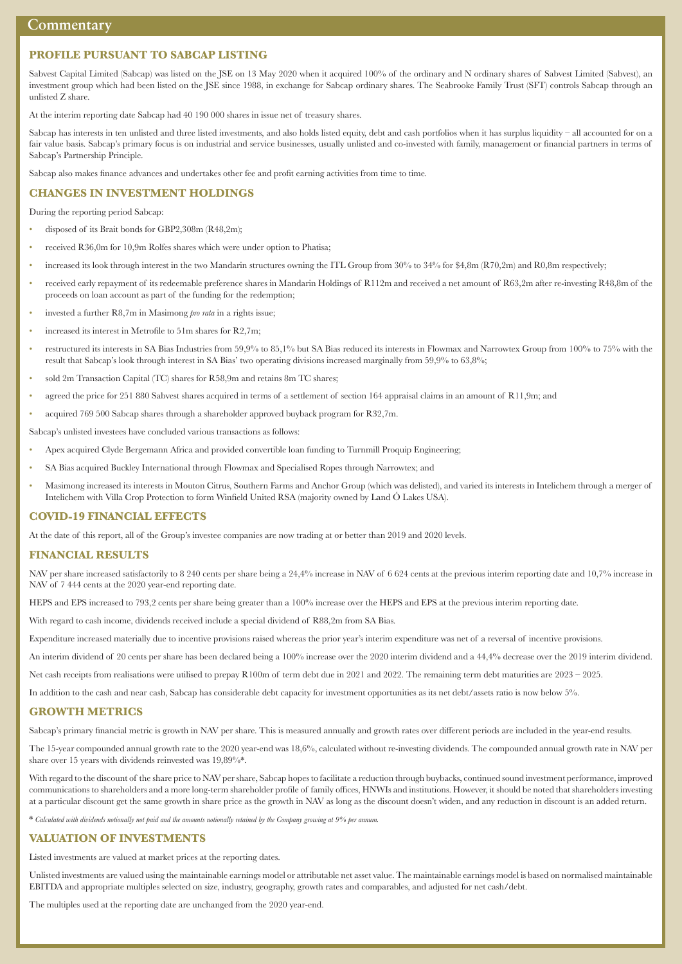# **PROFILE PURSUANT TO SABCAP LISTING**

Sabvest Capital Limited (Sabcap) was listed on the JSE on 13 May 2020 when it acquired 100% of the ordinary and N ordinary shares of Sabvest Limited (Sabvest), an investment group which had been listed on the JSE since 1988, in exchange for Sabcap ordinary shares. The Seabrooke Family Trust (SFT) controls Sabcap through an unlisted Z share.

At the interim reporting date Sabcap had 40 190 000 shares in issue net of treasury shares.

Sabcap has interests in ten unlisted and three listed investments, and also holds listed equity, debt and cash portfolios when it has surplus liquidity – all accounted for on a fair value basis. Sabcap's primary focus is on industrial and service businesses, usually unlisted and co-invested with family, management or financial partners in terms of Sabcap's Partnership Principle.

Sabcap also makes finance advances and undertakes other fee and profit earning activities from time to time.

#### **CHANGES IN INVESTMENT HOLDINGS**

During the reporting period Sabcap:

- disposed of its Brait bonds for GBP2,308m (R48,2m);
- received R36,0m for 10,9m Rolfes shares which were under option to Phatisa;
- increased its look through interest in the two Mandarin structures owning the ITL Group from 30% to 34% for \$4,8m (R70,2m) and R0,8m respectively;
- received early repayment of its redeemable preference shares in Mandarin Holdings of R112m and received a net amount of R63,2m after re-investing R48,8m of the proceeds on loan account as part of the funding for the redemption;
- invested a further R8,7m in Masimong *pro rata* in a rights issue;
- increased its interest in Metrofile to 51m shares for R2,7m;
- restructured its interests in SA Bias Industries from 59,9% to 85,1% but SA Bias reduced its interests in Flowmax and Narrowtex Group from 100% to 75% with the result that Sabcap's look through interest in SA Bias' two operating divisions increased marginally from 59,9% to 63,8%;
- sold 2m Transaction Capital (TC) shares for R58,9m and retains 8m TC shares;
- agreed the price for 251 880 Sabvest shares acquired in terms of a settlement of section 164 appraisal claims in an amount of R11,9m; and
- acquired 769 500 Sabcap shares through a shareholder approved buyback program for R32,7m.

Sabcap's unlisted investees have concluded various transactions as follows:

- Apex acquired Clyde Bergemann Africa and provided convertible loan funding to Turnmill Proquip Engineering;
- SA Bias acquired Buckley International through Flowmax and Specialised Ropes through Narrowtex; and
- Masimong increased its interests in Mouton Citrus, Southern Farms and Anchor Group (which was delisted), and varied its interests in Intelichem through a merger of Intelichem with Villa Crop Protection to form Winfield United RSA (majority owned by Land Ó Lakes USA).

#### **COVID-19 FINANCIAL EFFECTS**

At the date of this report, all of the Group's investee companies are now trading at or better than 2019 and 2020 levels.

#### **FINANCIAL RESULTS**

NAV per share increased satisfactorily to 8 240 cents per share being a 24,4% increase in NAV of 6 624 cents at the previous interim reporting date and 10,7% increase in NAV of 7 444 cents at the 2020 year-end reporting date.

HEPS and EPS increased to 793,2 cents per share being greater than a 100% increase over the HEPS and EPS at the previous interim reporting date.

With regard to cash income, dividends received include a special dividend of R88,2m from SA Bias.

Expenditure increased materially due to incentive provisions raised whereas the prior year's interim expenditure was net of a reversal of incentive provisions.

An interim dividend of 20 cents per share has been declared being a 100% increase over the 2020 interim dividend and a 44,4% decrease over the 2019 interim dividend.

Net cash receipts from realisations were utilised to prepay R100m of term debt due in 2021 and 2022. The remaining term debt maturities are 2023 – 2025.

In addition to the cash and near cash, Sabcap has considerable debt capacity for investment opportunities as its net debt/assets ratio is now below 5%.

#### **GROWTH METRICS**

Sabcap's primary financial metric is growth in NAV per share. This is measured annually and growth rates over different periods are included in the year-end results.

The 15-year compounded annual growth rate to the 2020 year-end was 18,6%, calculated without re-investing dividends. The compounded annual growth rate in NAV per share over 15 years with dividends reinvested was 19,89%\*.

With regard to the discount of the share price to NAV per share, Sabcap hopes to facilitate a reduction through buybacks, continued sound investment performance, improved communications to shareholders and a more long-term shareholder profile of family offices, HNWIs and institutions. However, it should be noted that shareholders investing at a particular discount get the same growth in share price as the growth in NAV as long as the discount doesn't widen, and any reduction in discount is an added return.

\* Calculated with dividends notionally not paid and the amounts notionally retained by the Company growing at 9% per annum

#### **VALUATION OF INVESTMENTS**

Listed investments are valued at market prices at the reporting dates.

Unlisted investments are valued using the maintainable earnings model or attributable net asset value. The maintainable earnings model is based on normalised maintainable EBITDA and appropriate multiples selected on size, industry, geography, growth rates and comparables, and adjusted for net cash/debt.

The multiples used at the reporting date are unchanged from the 2020 year-end.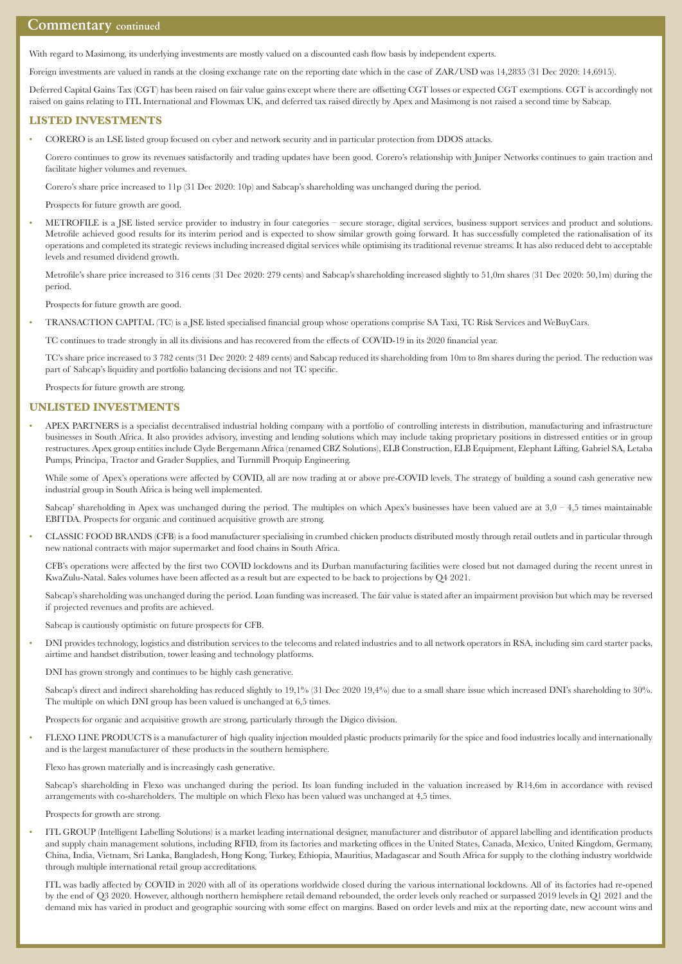# **Commentary continued**

With regard to Masimong, its underlying investments are mostly valued on a discounted cash flow basis by independent experts.

Foreign investments are valued in rands at the closing exchange rate on the reporting date which in the case of ZAR/USD was 14,2835 (31 Dec 2020: 14,6915).

Deferred Capital Gains Tax (CGT) has been raised on fair value gains except where there are offsetting CGT losses or expected CGT exemptions. CGT is accordingly not raised on gains relating to ITL International and Flowmax UK, and deferred tax raised directly by Apex and Masimong is not raised a second time by Sabcap.

#### **LISTED INVESTMENTS**

• CORERO is an LSE listed group focused on cyber and network security and in particular protection from DDOS attacks.

 Corero continues to grow its revenues satisfactorily and trading updates have been good. Corero's relationship with Juniper Networks continues to gain traction and facilitate higher volumes and revenues.

Corero's share price increased to 11p (31 Dec 2020: 10p) and Sabcap's shareholding was unchanged during the period.

Prospects for future growth are good.

• METROFILE is a JSE listed service provider to industry in four categories – secure storage, digital services, business support services and product and solutions. Metrofile achieved good results for its interim period and is expected to show similar growth going forward. It has successfully completed the rationalisation of its operations and completed its strategic reviews including increased digital services while optimising its traditional revenue streams. It has also reduced debt to acceptable levels and resumed dividend growth.

Metrofile's share price increased to 316 cents (31 Dec 2020: 279 cents) and Sabcap's shareholding increased slightly to 51,0m shares (31 Dec 2020: 50,1m) during the period.

Prospects for future growth are good.

• TRANSACTION CAPITAL (TC) is a JSE listed specialised financial group whose operations comprise SA Taxi, TC Risk Services and WeBuyCars.

TC continues to trade strongly in all its divisions and has recovered from the effects of COVID-19 in its 2020 financial year.

 TC's share price increased to 3 782 cents (31 Dec 2020: 2 489 cents) and Sabcap reduced its shareholding from 10m to 8m shares during the period. The reduction was part of Sabcap's liquidity and portfolio balancing decisions and not TC specific.

Prospects for future growth are strong.

#### **UNLISTED INVESTMENTS**

• APEX PARTNERS is a specialist decentralised industrial holding company with a portfolio of controlling interests in distribution, manufacturing and infrastructure businesses in South Africa. It also provides advisory, investing and lending solutions which may include taking proprietary positions in distressed entities or in group restructures. Apex group entities include Clyde Bergemann Africa (renamed CBZ Solutions), ELB Construction, ELB Equipment, Elephant Lifting, Gabriel SA, Letaba Pumps, Principa, Tractor and Grader Supplies, and Turnmill Proquip Engineering.

While some of Apex's operations were affected by COVID, all are now trading at or above pre-COVID levels. The strategy of building a sound cash generative new industrial group in South Africa is being well implemented.

Sabcap' shareholding in Apex was unchanged during the period. The multiples on which Apex's businesses have been valued are at  $3,0 - 4,5$  times maintainable EBITDA. Prospects for organic and continued acquisitive growth are strong.

• CLASSIC FOOD BRANDS (CFB) is a food manufacturer specialising in crumbed chicken products distributed mostly through retail outlets and in particular through new national contracts with major supermarket and food chains in South Africa.

CFB's operations were affected by the first two COVID lockdowns and its Durban manufacturing facilities were closed but not damaged during the recent unrest in KwaZulu-Natal. Sales volumes have been affected as a result but are expected to be back to projections by Q4 2021.

 Sabcap's shareholding was unchanged during the period. Loan funding was increased. The fair value is stated after an impairment provision but which may be reversed if projected revenues and profits are achieved.

Sabcap is cautiously optimistic on future prospects for CFB.

• DNI provides technology, logistics and distribution services to the telecoms and related industries and to all network operators in RSA, including sim card starter packs, airtime and handset distribution, tower leasing and technology platforms.

DNI has grown strongly and continues to be highly cash generative.

 Sabcap's direct and indirect shareholding has reduced slightly to 19,1% (31 Dec 2020 19,4%) due to a small share issue which increased DNI's shareholding to 30%. The multiple on which DNI group has been valued is unchanged at 6,5 times.

Prospects for organic and acquisitive growth are strong, particularly through the Digico division.

• FLEXO LINE PRODUCTS is a manufacturer of high quality injection moulded plastic products primarily for the spice and food industries locally and internationally and is the largest manufacturer of these products in the southern hemisphere.

Flexo has grown materially and is increasingly cash generative.

 Sabcap's shareholding in Flexo was unchanged during the period. Its loan funding included in the valuation increased by R14,6m in accordance with revised arrangements with co-shareholders. The multiple on which Flexo has been valued was unchanged at 4,5 times.

Prospects for growth are strong.

• ITL GROUP (Intelligent Labelling Solutions) is a market leading international designer, manufacturer and distributor of apparel labelling and identification products and supply chain management solutions, including RFID, from its factories and marketing offices in the United States, Canada, Mexico, United Kingdom, Germany, China, India, Vietnam, Sri Lanka, Bangladesh, Hong Kong, Turkey, Ethiopia, Mauritius, Madagascar and South Africa for supply to the clothing industry worldwide through multiple international retail group accreditations.

ITL was badly affected by COVID in 2020 with all of its operations worldwide closed during the various international lockdowns. All of its factories had re-opened by the end of Q3 2020. However, although northern hemisphere retail demand rebounded, the order levels only reached or surpassed 2019 levels in Q1 2021 and the demand mix has varied in product and geographic sourcing with some effect on margins. Based on order levels and mix at the reporting date, new account wins and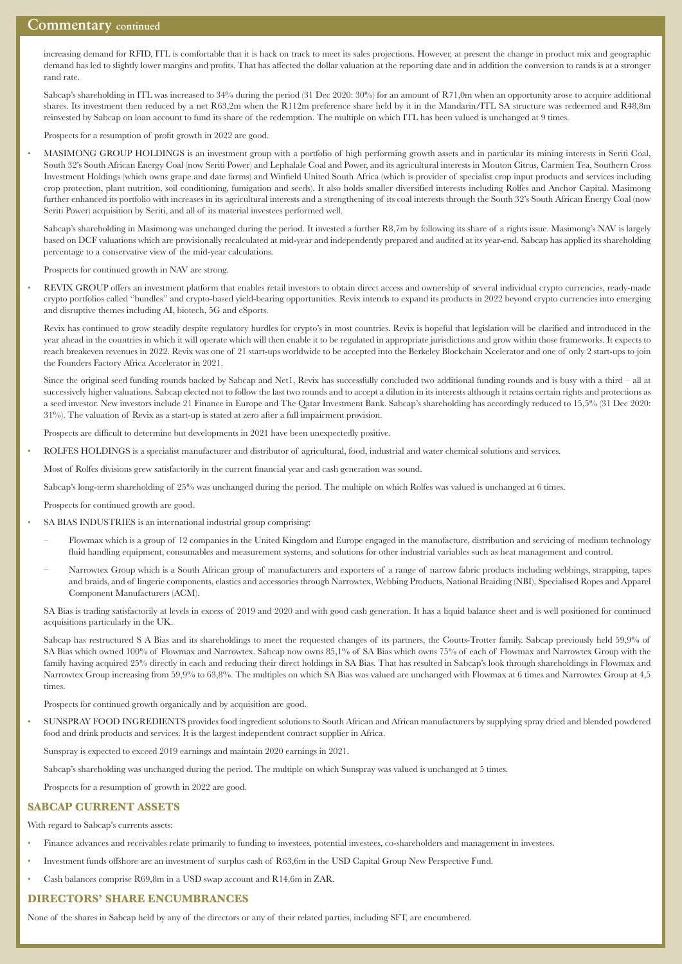# **Commentary continued**

increasing demand for RFID, ITL is comfortable that it is back on track to meet its sales projections. However, at present the change in product mix and geographic demand has led to slightly lower margins and profits. That has affected the dollar valuation at the reporting date and in addition the conversion to rands is at a stronger rand rate.

 Sabcap's shareholding in ITL was increased to 34% during the period (31 Dec 2020: 30%) for an amount of R71,0m when an opportunity arose to acquire additional shares. Its investment then reduced by a net R63,2m when the R112m preference share held by it in the Mandarin/ITL SA structure was redeemed and R48,8m reinvested by Sabcap on loan account to fund its share of the redemption. The multiple on which ITL has been valued is unchanged at 9 times.

Prospects for a resumption of profit growth in 2022 are good.

• MASIMONG GROUP HOLDINGS is an investment group with a portfolio of high performing growth assets and in particular its mining interests in Seriti Coal, South 32's South African Energy Coal (now Seriti Power) and Lephalale Coal and Power, and its agricultural interests in Mouton Citrus, Carmien Tea, Southern Cross Investment Holdings (which owns grape and date farms) and Winfield United South Africa (which is provider of specialist crop input products and services including crop protection, plant nutrition, soil conditioning, fumigation and seeds). It also holds smaller diversified interests including Rolfes and Anchor Capital. Masimong further enhanced its portfolio with increases in its agricultural interests and a strengthening of its coal interests through the South 32's South African Energy Coal (now Seriti Power) acquisition by Seriti, and all of its material investees performed well.

 Sabcap's shareholding in Masimong was unchanged during the period. It invested a further R8,7m by following its share of a rights issue. Masimong's NAV is largely based on DCF valuations which are provisionally recalculated at mid-year and independently prepared and audited at its year-end. Sabcap has applied its shareholding percentage to a conservative view of the mid-year calculations.

Prospects for continued growth in NAV are strong.

• REVIX GROUP offers an investment platform that enables retail investors to obtain direct access and ownership of several individual crypto currencies, ready-made crypto portfolios called ''bundles'' and crypto-based yield-bearing opportunities. Revix intends to expand its products in 2022 beyond crypto currencies into emerging and disruptive themes including AI, biotech, 5G and eSports.

Revix has continued to grow steadily despite regulatory hurdles for crypto's in most countries. Revix is hopeful that legislation will be clarified and introduced in the year ahead in the countries in which it will operate which will then enable it to be regulated in appropriate jurisdictions and grow within those frameworks. It expects to reach breakeven revenues in 2022. Revix was one of 21 start-ups worldwide to be accepted into the Berkeley Blockchain Xcelerator and one of only 2 start-ups to join the Founders Factory Africa Accelerator in 2021.

 Since the original seed funding rounds backed by Sabcap and Net1, Revix has successfully concluded two additional funding rounds and is busy with a third – all at successively higher valuations. Sabcap elected not to follow the last two rounds and to accept a dilution in its interests although it retains certain rights and protections as a seed investor. New investors include 21 Finance in Europe and The Qatar Investment Bank. Sabcap's shareholding has accordingly reduced to 15,5% (31 Dec 2020: 31%). The valuation of Revix as a start-up is stated at zero after a full impairment provision.

Prospects are difficult to determine but developments in 2021 have been unexpectedly positive.

• ROLFES HOLDINGS is a specialist manufacturer and distributor of agricultural, food, industrial and water chemical solutions and services.

Most of Rolfes divisions grew satisfactorily in the current financial year and cash generation was sound.

Sabcap's long-term shareholding of 25% was unchanged during the period. The multiple on which Rolfes was valued is unchanged at 6 times.

Prospects for continued growth are good.

- SA BIAS INDUSTRIES is an international industrial group comprising:
	- Flowmax which is a group of 12 companies in the United Kingdom and Europe engaged in the manufacture, distribution and servicing of medium technology fluid handling equipment, consumables and measurement systems, and solutions for other industrial variables such as heat management and control.
	- Narrowtex Group which is a South African group of manufacturers and exporters of a range of narrow fabric products including webbings, strapping, tapes and braids, and of lingerie components, elastics and accessories through Narrowtex, Webbing Products, National Braiding (NBI), Specialised Ropes and Apparel Component Manufacturers (ACM).

 SA Bias is trading satisfactorily at levels in excess of 2019 and 2020 and with good cash generation. It has a liquid balance sheet and is well positioned for continued acquisitions particularly in the UK.

 Sabcap has restructured S A Bias and its shareholdings to meet the requested changes of its partners, the Coutts-Trotter family. Sabcap previously held 59,9% of SA Bias which owned 100% of Flowmax and Narrowtex. Sabcap now owns 85,1% of SA Bias which owns 75% of each of Flowmax and Narrowtex Group with the family having acquired 25% directly in each and reducing their direct holdings in SA Bias. That has resulted in Sabcap's look through shareholdings in Flowmax and Narrowtex Group increasing from 59,9% to 63,8%. The multiples on which SA Bias was valued are unchanged with Flowmax at 6 times and Narrowtex Group at 4,5 times.

Prospects for continued growth organically and by acquisition are good.

• SUNSPRAY FOOD INGREDIENTS provides food ingredient solutions to South African and African manufacturers by supplying spray dried and blended powdered food and drink products and services. It is the largest independent contract supplier in Africa.

Sunspray is expected to exceed 2019 earnings and maintain 2020 earnings in 2021.

Sabcap's shareholding was unchanged during the period. The multiple on which Sunspray was valued is unchanged at 5 times.

Prospects for a resumption of growth in 2022 are good.

## **SABCAP CURRENT ASSETS**

With regard to Sabcap's currents assets:

- Finance advances and receivables relate primarily to funding to investees, potential investees, co-shareholders and management in investees.
- Investment funds offshore are an investment of surplus cash of R63,6m in the USD Capital Group New Perspective Fund.
- Cash balances comprise R69,8m in a USD swap account and R14,6m in ZAR.

#### **DIRECTORS' SHARE ENCUMBRANCES**

None of the shares in Sabcap held by any of the directors or any of their related parties, including SFT, are encumbered.